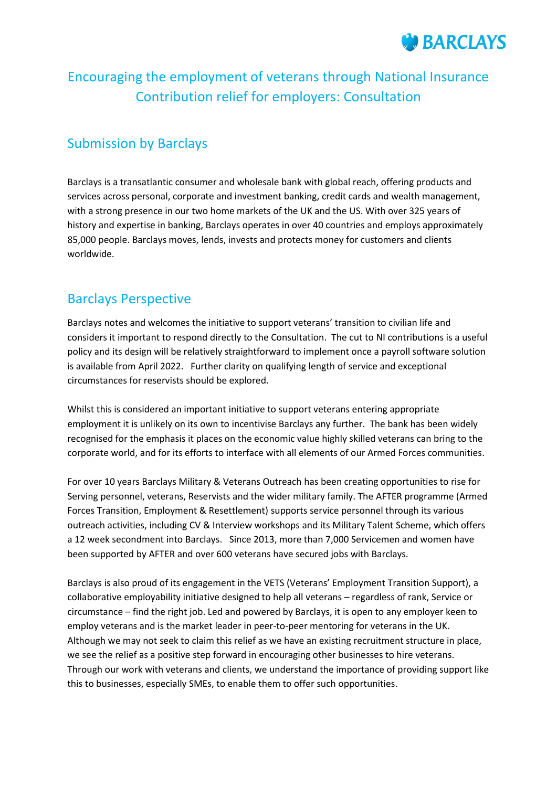

# Encouraging the employment of veterans through National Insurance Contribution relief for employers: Consultation

# Submission by Barclays

Barclays is a transatlantic consumer and wholesale bank with global reach, offering products and services across personal, corporate and investment banking, credit cards and wealth management, with a strong presence in our two home markets of the UK and the US. With over 325 years of history and expertise in banking, Barclays operates in over 40 countries and employs approximately 85,000 people. Barclays moves, lends, invests and protects money for customers and clients worldwide.

# Barclays Perspective

Barclays notes and welcomes the initiative to support veterans' transition to civilian life and considers it important to respond directly to the Consultation. The cut to NI contributions is a useful policy and its design will be relatively straightforward to implement once a payroll software solution is available from April 2022. Further clarity on qualifying length of service and exceptional circumstances for reservists should be explored.

Whilst this is considered an important initiative to support veterans entering appropriate employment it is unlikely on its own to incentivise Barclays any further. The bank has been widely recognised for the emphasis it places on the economic value highly skilled veterans can bring to the corporate world, and for its efforts to interface with all elements of our Armed Forces communities.

For over 10 years Barclays Military & Veterans Outreach has been creating opportunities to rise for Serving personnel, veterans, Reservists and the wider military family. The AFTER programme (Armed Forces Transition, Employment & Resettlement) supports service personnel through its various outreach activities, including CV & Interview workshops and its Military Talent Scheme, which offers a 12 week secondment into Barclays. Since 2013, more than 7,000 Servicemen and women have been supported by AFTER and over 600 veterans have secured jobs with Barclays.

Barclays is also proud of its engagement in the VETS (Veterans' Employment Transition Support), a collaborative employability initiative designed to help all veterans – regardless of rank, Service or circumstance – find the right job. Led and powered by Barclays, it is open to any employer keen to employ veterans and is the market leader in peer-to-peer mentoring for veterans in the UK. Although we may not seek to claim this relief as we have an existing recruitment structure in place, we see the relief as a positive step forward in encouraging other businesses to hire veterans. Through our work with veterans and clients, we understand the importance of providing support like this to businesses, especially SMEs, to enable them to offer such opportunities.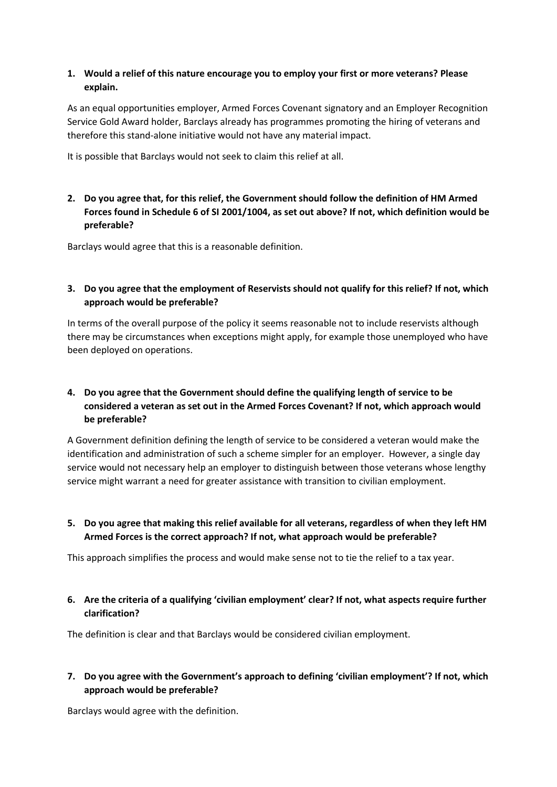#### **1. Would a relief of this nature encourage you to employ your first or more veterans? Please explain.**

As an equal opportunities employer, Armed Forces Covenant signatory and an Employer Recognition Service Gold Award holder, Barclays already has programmes promoting the hiring of veterans and therefore this stand-alone initiative would not have any material impact.

It is possible that Barclays would not seek to claim this relief at all.

**2. Do you agree that, for this relief, the Government should follow the definition of HM Armed Forces found in Schedule 6 of SI 2001/1004, as set out above? If not, which definition would be preferable?** 

Barclays would agree that this is a reasonable definition.

#### **3. Do you agree that the employment of Reservists should not qualify for this relief? If not, which approach would be preferable?**

In terms of the overall purpose of the policy it seems reasonable not to include reservists although there may be circumstances when exceptions might apply, for example those unemployed who have been deployed on operations.

# **4. Do you agree that the Government should define the qualifying length of service to be considered a veteran as set out in the Armed Forces Covenant? If not, which approach would be preferable?**

A Government definition defining the length of service to be considered a veteran would make the identification and administration of such a scheme simpler for an employer. However, a single day service would not necessary help an employer to distinguish between those veterans whose lengthy service might warrant a need for greater assistance with transition to civilian employment.

**5. Do you agree that making this relief available for all veterans, regardless of when they left HM Armed Forces is the correct approach? If not, what approach would be preferable?** 

This approach simplifies the process and would make sense not to tie the relief to a tax year.

**6. Are the criteria of a qualifying 'civilian employment' clear? If not, what aspects require further clarification?** 

The definition is clear and that Barclays would be considered civilian employment.

#### **7. Do you agree with the Government's approach to defining 'civilian employment'? If not, which approach would be preferable?**

Barclays would agree with the definition.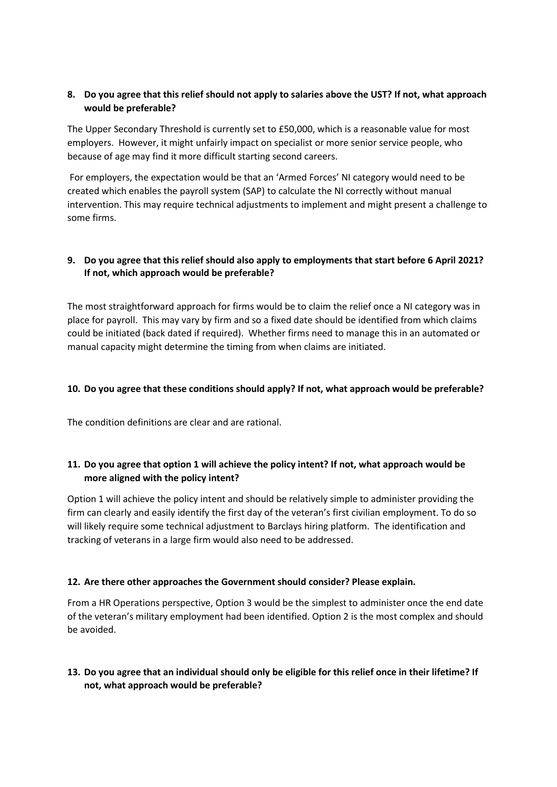# **8. Do you agree that this relief should not apply to salaries above the UST? If not, what approach would be preferable?**

The Upper Secondary Threshold is currently set to £50,000, which is a reasonable value for most employers. However, it might unfairly impact on specialist or more senior service people, who because of age may find it more difficult starting second careers.

For employers, the expectation would be that an 'Armed Forces' NI category would need to be created which enables the payroll system (SAP) to calculate the NI correctly without manual intervention. This may require technical adjustments to implement and might present a challenge to some firms.

#### **9. Do you agree that this relief should also apply to employments that start before 6 April 2021? If not, which approach would be preferable?**

The most straightforward approach for firms would be to claim the relief once a NI category was in place for payroll. This may vary by firm and so a fixed date should be identified from which claims could be initiated (back dated if required). Whether firms need to manage this in an automated or manual capacity might determine the timing from when claims are initiated.

#### **10. Do you agree that these conditions should apply? If not, what approach would be preferable?**

The condition definitions are clear and are rational.

# **11. Do you agree that option 1 will achieve the policy intent? If not, what approach would be more aligned with the policy intent?**

Option 1 will achieve the policy intent and should be relatively simple to administer providing the firm can clearly and easily identify the first day of the veteran's first civilian employment. To do so will likely require some technical adjustment to Barclays hiring platform. The identification and tracking of veterans in a large firm would also need to be addressed.

#### **12. Are there other approaches the Government should consider? Please explain.**

From a HR Operations perspective, Option 3 would be the simplest to administer once the end date of the veteran's military employment had been identified. Option 2 is the most complex and should be avoided.

# **13. Do you agree that an individual should only be eligible for this relief once in their lifetime? If not, what approach would be preferable?**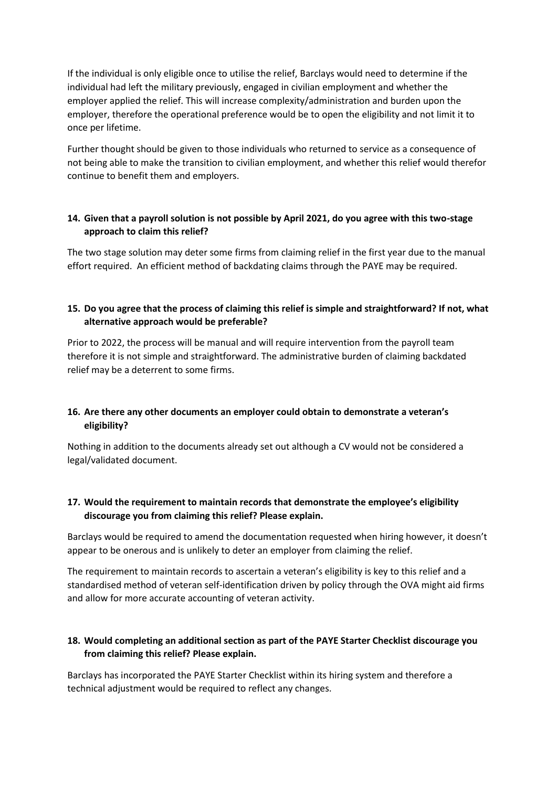If the individual is only eligible once to utilise the relief, Barclays would need to determine if the individual had left the military previously, engaged in civilian employment and whether the employer applied the relief. This will increase complexity/administration and burden upon the employer, therefore the operational preference would be to open the eligibility and not limit it to once per lifetime.

Further thought should be given to those individuals who returned to service as a consequence of not being able to make the transition to civilian employment, and whether this relief would therefor continue to benefit them and employers.

#### **14. Given that a payroll solution is not possible by April 2021, do you agree with this two-stage approach to claim this relief?**

The two stage solution may deter some firms from claiming relief in the first year due to the manual effort required. An efficient method of backdating claims through the PAYE may be required.

# **15. Do you agree that the process of claiming this relief is simple and straightforward? If not, what alternative approach would be preferable?**

Prior to 2022, the process will be manual and will require intervention from the payroll team therefore it is not simple and straightforward. The administrative burden of claiming backdated relief may be a deterrent to some firms.

# **16. Are there any other documents an employer could obtain to demonstrate a veteran's eligibility?**

Nothing in addition to the documents already set out although a CV would not be considered a legal/validated document.

# **17. Would the requirement to maintain records that demonstrate the employee's eligibility discourage you from claiming this relief? Please explain.**

Barclays would be required to amend the documentation requested when hiring however, it doesn't appear to be onerous and is unlikely to deter an employer from claiming the relief.

The requirement to maintain records to ascertain a veteran's eligibility is key to this relief and a standardised method of veteran self-identification driven by policy through the OVA might aid firms and allow for more accurate accounting of veteran activity.

#### **18. Would completing an additional section as part of the PAYE Starter Checklist discourage you from claiming this relief? Please explain.**

Barclays has incorporated the PAYE Starter Checklist within its hiring system and therefore a technical adjustment would be required to reflect any changes.